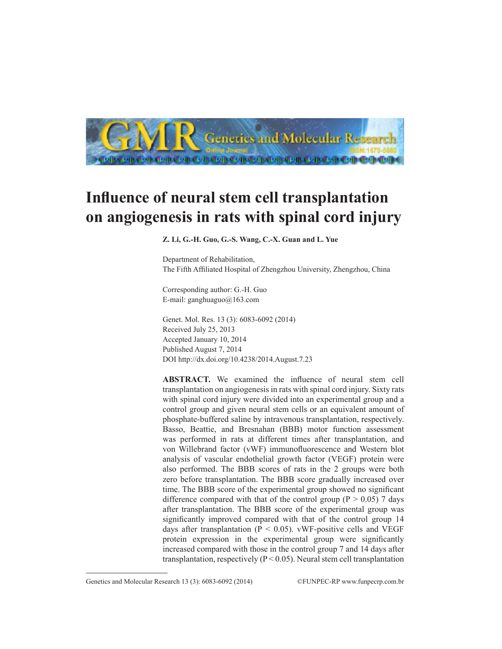

## **Influence of neural stem cell transplantation on angiogenesis in rats with spinal cord injury**

**Z. Li, G.-H. Guo, G.-S. Wang, C.-X. Guan and L. Yue**

Department of Rehabilitation, The Fifth Affiliated Hospital of Zhengzhou University, Zhengzhou, China

Corresponding author: G.-H. Guo E-mail: ganghuaguo@163.com

Genet. Mol. Res. 13 (3): 6083-6092 (2014) Received July 25, 2013 Accepted January 10, 2014 Published August 7, 2014 DOI http://dx.doi.org/10.4238/2014.August.7.23

**ABSTRACT.** We examined the influence of neural stem cell transplantation on angiogenesis in rats with spinal cord injury. Sixty rats with spinal cord injury were divided into an experimental group and a control group and given neural stem cells or an equivalent amount of phosphate-buffered saline by intravenous transplantation, respectively. Basso, Beattie, and Bresnahan (BBB) motor function assessment was performed in rats at different times after transplantation, and von Willebrand factor (vWF) immunofluorescence and Western blot analysis of vascular endothelial growth factor (VEGF) protein were also performed. The BBB scores of rats in the 2 groups were both zero before transplantation. The BBB score gradually increased over time. The BBB score of the experimental group showed no significant difference compared with that of the control group ( $P > 0.05$ ) 7 days after transplantation. The BBB score of the experimental group was significantly improved compared with that of the control group 14 days after transplantation ( $P < 0.05$ ). vWF-positive cells and VEGF protein expression in the experimental group were significantly increased compared with those in the control group 7 and 14 days after transplantation, respectively ( $P < 0.05$ ). Neural stem cell transplantation

Genetics and Molecular Research 13 (3): 6083-6092 (2014) ©FUNPEC-RP www.funpecrp.com.br